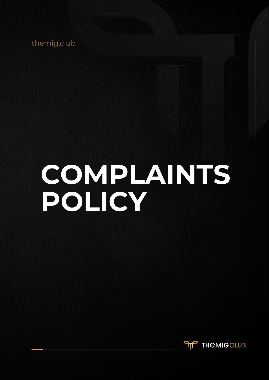themig.club

# **COMPLAINTS POLICY**

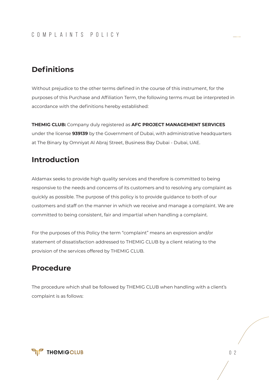#### COMPLAINTS POLICY

#### **Definitions**

Without prejudice to the other terms defined in the course of this instrument, for the purposes of this Purchase and Affiliation Term, the following terms must be interpreted in accordance with the definitions hereby established:

**THEMIG CLUB:** Company duly registered as **AFC PROJECT MANAGEMENT SERVICES**  under the license **939139** by the Government of Dubai, with administrative headquarters at The Binary by Omniyat Al Abraj Street, Business Bay Dubai - Dubai, UAE.

#### **Introduction**

Aldamax seeks to provide high quality services and therefore is committed to being responsive to the needs and concerns of its customers and to resolving any complaint as quickly as possible. The purpose of this policy is to provide guidance to both of our customers and staff on the manner in which we receive and manage a complaint. We are committed to being consistent, fair and impartial when handling a complaint.

For the purposes of this Policy the term "complaint" means an expression and/or statement of dissatisfaction addressed to THEMIG CLUB by a client relating to the provision of the services offered by THEMIG CLUB.

#### **Procedure**

The procedure which shall be followed by THEMIG CLUB when handling with a client's complaint is as follows:

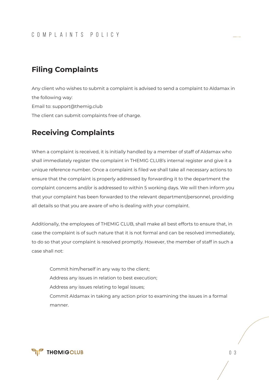## **Filing Complaints**

Any client who wishes to submit a complaint is advised to send a complaint to Aldamax in the following way: Email to: support@themig.club The client can submit complaints free of charge.

#### **Receiving Complaints**

When a complaint is received, it is initially handled by a member of staff of Aldamax who shall immediately register the complaint in THEMIG CLUB's internal register and give it a unique reference number. Once a complaint is filed we shall take all necessary actions to ensure that the complaint is properly addressed by forwarding it to the department the complaint concerns and/or is addressed to within 5 working days. We will then inform you that your complaint has been forwarded to the relevant department/personnel, providing all details so that you are aware of who is dealing with your complaint.

Additionally, the employees of THEMIG CLUB, shall make all best efforts to ensure that, in case the complaint is of such nature that it is not formal and can be resolved immediately, to do so that your complaint is resolved promptly. However, the member of staff in such a case shall not:

Commit him/herself in any way to the client; Address any issues in relation to best execution; Address any issues relating to legal issues; Commit Aldamax in taking any action prior to examining the issues in a formal manner.

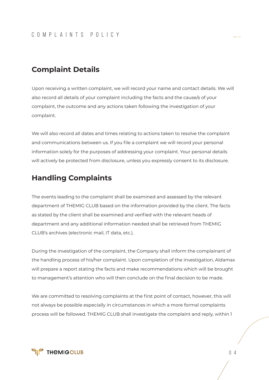## **Complaint Details**

Upon receiving a written complaint, we will record your name and contact details. We will also record all details of your complaint including the facts and the cause/s of your complaint, the outcome and any actions taken following the investigation of your complaint.

We will also record all dates and times relating to actions taken to resolve the complaint and communications between us. If you file a complaint we will record your personal information solely for the purposes of addressing your complaint. Your personal details will actively be protected from disclosure, unless you expressly consent to its disclosure.

## **Handling Complaints**

The events leading to the complaint shall be examined and assessed by the relevant department of THEMIG CLUB based on the information provided by the client. The facts as stated by the client shall be examined and verified with the relevant heads of department and any additional information needed shall be retrieved from THEMIG CLUB's archives (electronic mail, IT data, etc.).

During the investigation of the complaint, the Company shall inform the complainant of the handling process of his/her complaint. Upon completion of the investigation, Aldamax will prepare a report stating the facts and make recommendations which will be brought to management's attention who will then conclude on the final decision to be made.

We are committed to resolving complaints at the first point of contact, however, this will not always be possible especially in circumstances in which a more formal complaints process will be followed. THEMIG CLUB shall investigate the complaint and reply, within 1